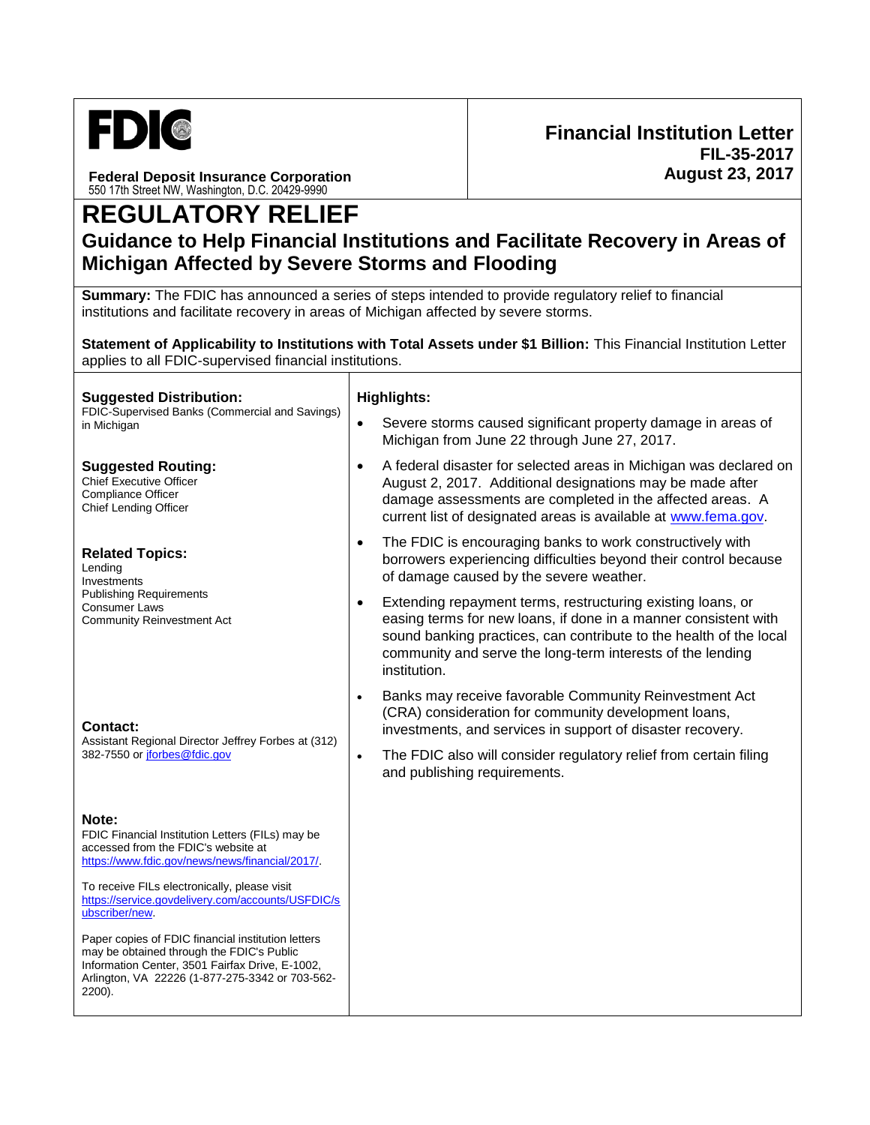

**Federal Deposit Insurance Corporation** 550 17th Street NW, Washington, D.C. 20429-9990

## **REGULATORY RELIEF**

## **Guidance to Help Financial Institutions and Facilitate Recovery in Areas of Michigan Affected by Severe Storms and Flooding**

**Summary:** The FDIC has announced a series of steps intended to provide regulatory relief to financial institutions and facilitate recovery in areas of Michigan affected by severe storms.

**Statement of Applicability to Institutions with Total Assets under \$1 Billion:** This Financial Institution Letter applies to all FDIC-supervised financial institutions.

| <b>Suggested Distribution:</b><br>FDIC-Supervised Banks (Commercial and Savings)<br>in Michigan                                                                                                                    |           | <b>Highlights:</b>                                                                                                                                                                                                                                                                 |  |
|--------------------------------------------------------------------------------------------------------------------------------------------------------------------------------------------------------------------|-----------|------------------------------------------------------------------------------------------------------------------------------------------------------------------------------------------------------------------------------------------------------------------------------------|--|
|                                                                                                                                                                                                                    | $\bullet$ | Severe storms caused significant property damage in areas of<br>Michigan from June 22 through June 27, 2017.                                                                                                                                                                       |  |
| <b>Suggested Routing:</b><br><b>Chief Executive Officer</b><br><b>Compliance Officer</b><br>Chief Lending Officer                                                                                                  | $\bullet$ | A federal disaster for selected areas in Michigan was declared on<br>August 2, 2017. Additional designations may be made after<br>damage assessments are completed in the affected areas. A<br>current list of designated areas is available at www.fema.gov.                      |  |
| <b>Related Topics:</b><br>Lending<br>Investments<br><b>Publishing Requirements</b><br><b>Consumer Laws</b><br><b>Community Reinvestment Act</b>                                                                    | $\bullet$ | The FDIC is encouraging banks to work constructively with<br>borrowers experiencing difficulties beyond their control because<br>of damage caused by the severe weather.                                                                                                           |  |
|                                                                                                                                                                                                                    | $\bullet$ | Extending repayment terms, restructuring existing loans, or<br>easing terms for new loans, if done in a manner consistent with<br>sound banking practices, can contribute to the health of the local<br>community and serve the long-term interests of the lending<br>institution. |  |
| <b>Contact:</b><br>Assistant Regional Director Jeffrey Forbes at (312)<br>382-7550 or jforbes@fdic.gov                                                                                                             | $\bullet$ | Banks may receive favorable Community Reinvestment Act<br>(CRA) consideration for community development loans,<br>investments, and services in support of disaster recovery.                                                                                                       |  |
|                                                                                                                                                                                                                    | $\bullet$ | The FDIC also will consider regulatory relief from certain filing<br>and publishing requirements.                                                                                                                                                                                  |  |
| Note:<br>FDIC Financial Institution Letters (FILs) may be<br>accessed from the FDIC's website at<br>https://www.fdic.gov/news/news/financial/2017/.                                                                |           |                                                                                                                                                                                                                                                                                    |  |
| To receive FILs electronically, please visit<br>https://service.govdelivery.com/accounts/USFDIC/s<br>ubscriber/new.                                                                                                |           |                                                                                                                                                                                                                                                                                    |  |
| Paper copies of FDIC financial institution letters<br>may be obtained through the FDIC's Public<br>Information Center, 3501 Fairfax Drive, E-1002,<br>Arlington, VA 22226 (1-877-275-3342 or 703-562-<br>$2200$ ). |           |                                                                                                                                                                                                                                                                                    |  |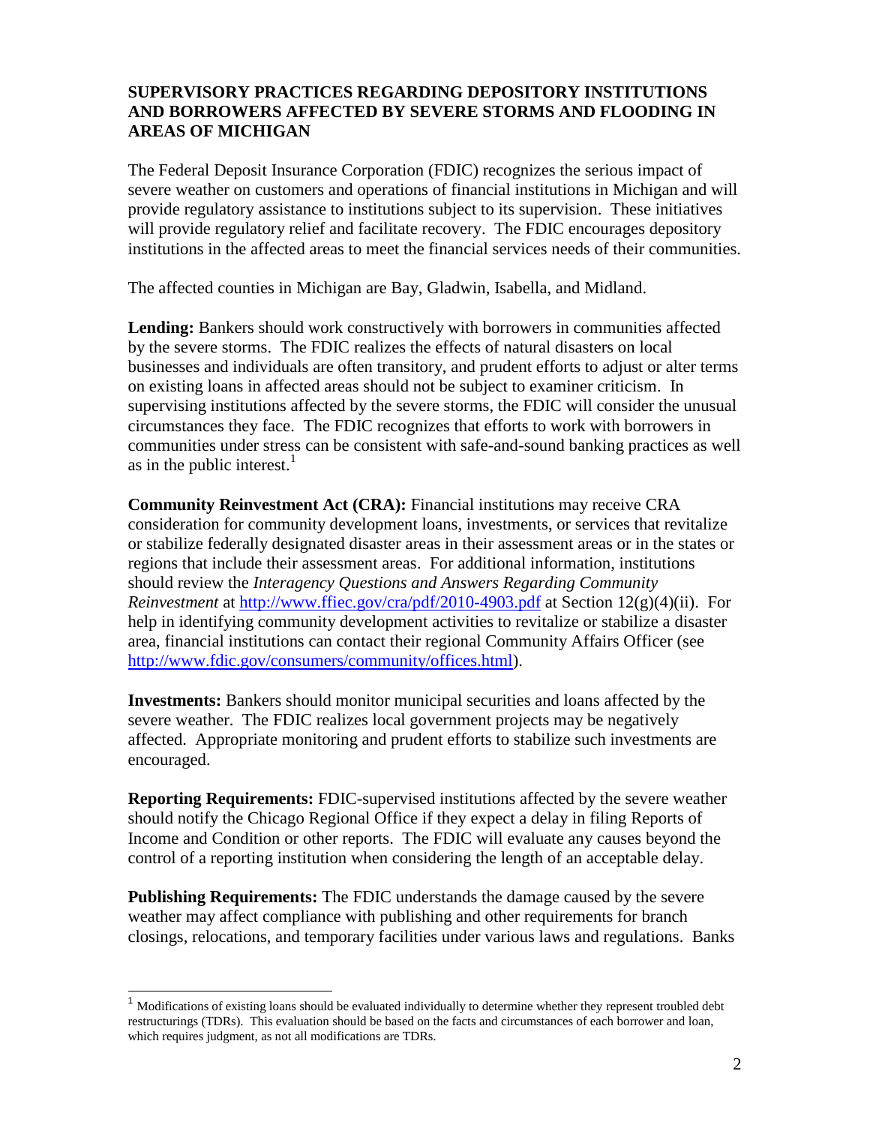## **SUPERVISORY PRACTICES REGARDING DEPOSITORY INSTITUTIONS AND BORROWERS AFFECTED BY SEVERE STORMS AND FLOODING IN AREAS OF MICHIGAN**

The Federal Deposit Insurance Corporation (FDIC) recognizes the serious impact of severe weather on customers and operations of financial institutions in Michigan and will provide regulatory assistance to institutions subject to its supervision. These initiatives will provide regulatory relief and facilitate recovery. The FDIC encourages depository institutions in the affected areas to meet the financial services needs of their communities.

The affected counties in Michigan are Bay, Gladwin, Isabella, and Midland.

**Lending:** Bankers should work constructively with borrowers in communities affected by the severe storms. The FDIC realizes the effects of natural disasters on local businesses and individuals are often transitory, and prudent efforts to adjust or alter terms on existing loans in affected areas should not be subject to examiner criticism. In supervising institutions affected by the severe storms, the FDIC will consider the unusual circumstances they face. The FDIC recognizes that efforts to work with borrowers in communities under stress can be consistent with safe-and-sound banking practices as well as in the public interest.<sup>1</sup>

**Community Reinvestment Act (CRA):** Financial institutions may receive CRA consideration for community development loans, investments, or services that revitalize or stabilize federally designated disaster areas in their assessment areas or in the states or regions that include their assessment areas. For additional information, institutions should review the *Interagency Questions and Answers Regarding Community Reinvestment* at<http://www.ffiec.gov/cra/pdf/2010-4903.pdf> at Section 12(g)(4)(ii). For help in identifying community development activities to revitalize or stabilize a disaster area, financial institutions can contact their regional Community Affairs Officer (see [http://www.fdic.gov/consumers/community/offices.html\)](http://www.fdic.gov/consumers/community/offices.html).

**Investments:** Bankers should monitor municipal securities and loans affected by the severe weather. The FDIC realizes local government projects may be negatively affected. Appropriate monitoring and prudent efforts to stabilize such investments are encouraged.

**Reporting Requirements:** FDIC-supervised institutions affected by the severe weather should notify the Chicago Regional Office if they expect a delay in filing Reports of Income and Condition or other reports. The FDIC will evaluate any causes beyond the control of a reporting institution when considering the length of an acceptable delay.

**Publishing Requirements:** The FDIC understands the damage caused by the severe weather may affect compliance with publishing and other requirements for branch closings, relocations, and temporary facilities under various laws and regulations. Banks

l

<sup>1</sup> Modifications of existing loans should be evaluated individually to determine whether they represent troubled debt restructurings (TDRs). This evaluation should be based on the facts and circumstances of each borrower and loan, which requires judgment, as not all modifications are TDRs.